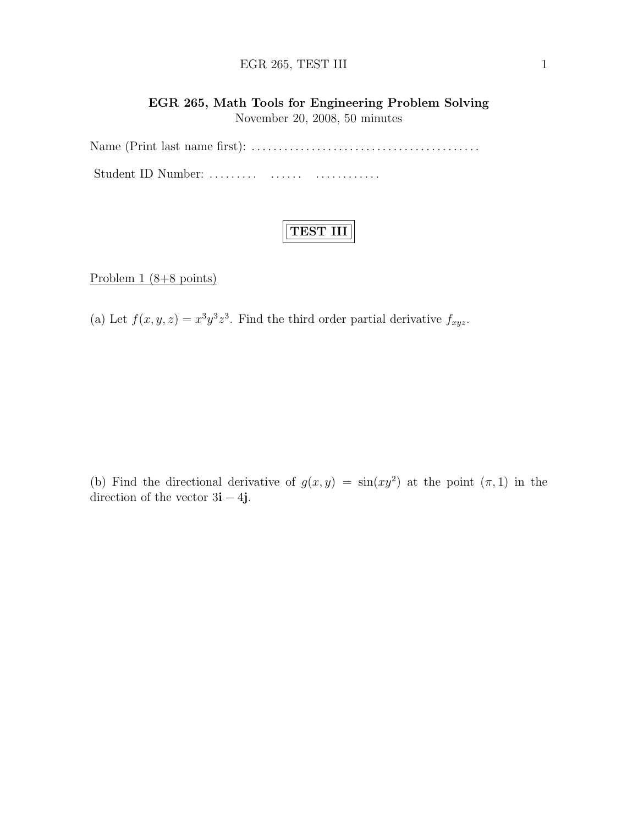#### EGR 265, TEST III 1

## EGR 265, Math Tools for Engineering Problem Solving November 20, 2008, 50 minutes

Name (Print last name first): . . . . . . . . . . . . . . . . . . . . . . . . . . . . . . . . . . . . . . . . . . Student ID Number: . . . . . . . . . . . . . . . . . . . . . . . . . . .

# TEST III

Problem  $1 (8+8 \text{ points})$ 

(a) Let  $f(x, y, z) = x^3 y^3 z^3$ . Find the third order partial derivative  $f_{xyz}$ .

(b) Find the directional derivative of  $g(x, y) = \sin(xy^2)$  at the point  $(\pi, 1)$  in the direction of the vector  $3i - 4j$ .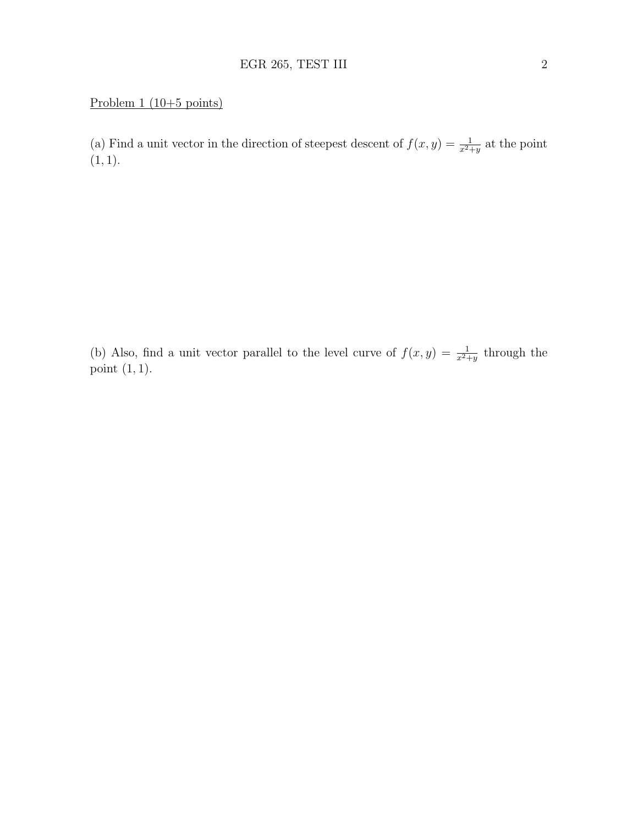## Problem 1 (10+5 points)

(a) Find a unit vector in the direction of steepest descent of  $f(x, y) = \frac{1}{x^2+y}$  at the point  $(1, 1).$ 

(b) Also, find a unit vector parallel to the level curve of  $f(x, y) = \frac{1}{x^2+y}$  through the point  $(1, 1)$ .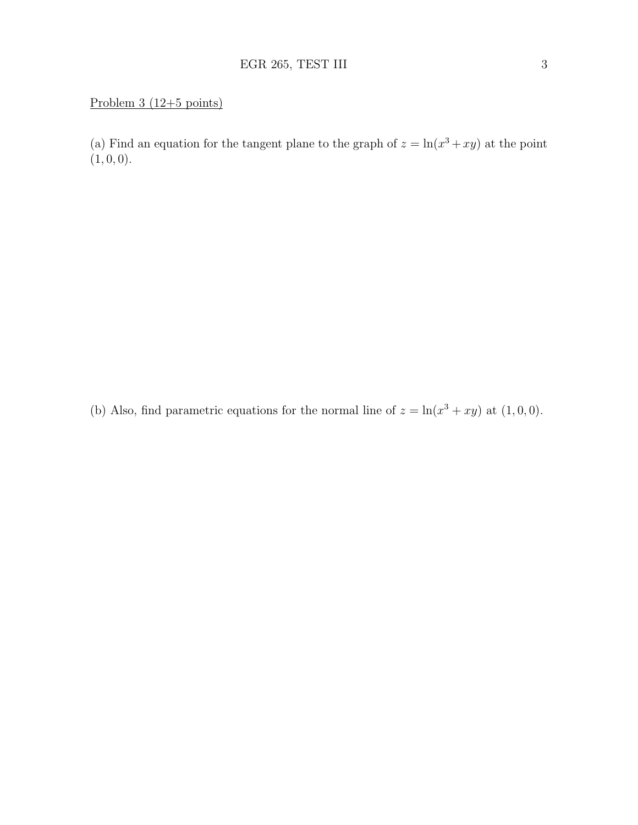## Problem 3 (12+5 points)

(a) Find an equation for the tangent plane to the graph of  $z = \ln(x^3 + xy)$  at the point  $(1, 0, 0).$ 

(b) Also, find parametric equations for the normal line of  $z = \ln(x^3 + xy)$  at  $(1,0,0)$ .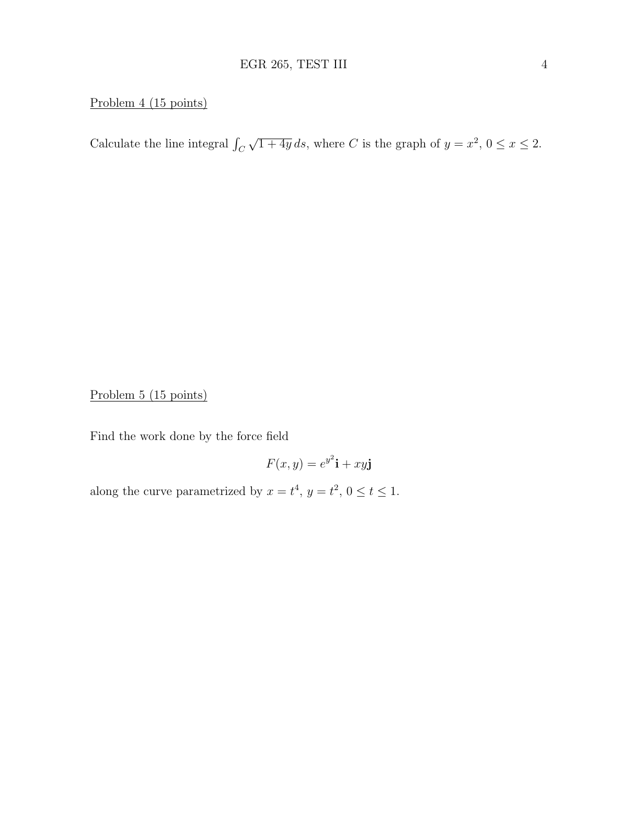#### Problem 4 (15 points)

Calculate the line integral  $\int_C$ √  $\overline{1+4y}$  ds, where C is the graph of  $y=x^2$ ,  $0 \le x \le 2$ .

Problem 5 (15 points)

Find the work done by the force field

$$
F(x, y) = e^{y^2}\mathbf{i} + xy\mathbf{j}
$$

along the curve parametrized by  $x = t^4$ ,  $y = t^2$ ,  $0 \le t \le 1$ .